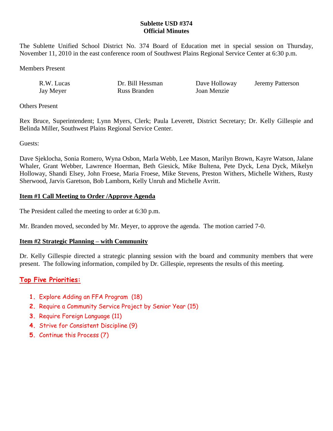## **Sublette USD #374 Official Minutes**

The Sublette Unified School District No. 374 Board of Education met in special session on Thursday, November 11, 2010 in the east conference room of Southwest Plains Regional Service Center at 6:30 p.m.

Jeremy Patterson

Members Present

| R.W. Lucas | Dr. Bill Hessman | Dave Holloway |
|------------|------------------|---------------|
| Jay Meyer  | Russ Branden     | Joan Menzie   |

Others Present

Rex Bruce, Superintendent; Lynn Myers, Clerk; Paula Leverett, District Secretary; Dr. Kelly Gillespie and Belinda Miller, Southwest Plains Regional Service Center.

Guests:

Dave Sjeklocha, Sonia Romero, Wyna Osbon, Marla Webb, Lee Mason, Marilyn Brown, Kayre Watson, Jalane Whaler, Grant Webber, Lawrence Hoerman, Beth Giesick, Mike Bultena, Pete Dyck, Lena Dyck, Mikelyn Holloway, Shandi Elsey, John Froese, Maria Froese, Mike Stevens, Preston Withers, Michelle Withers, Rusty Sherwood, Jarvis Garetson, Bob Lamborn, Kelly Unruh and Michelle Avritt.

### **Item #1 Call Meeting to Order /Approve Agenda**

The President called the meeting to order at 6:30 p.m.

Mr. Branden moved, seconded by Mr. Meyer, to approve the agenda. The motion carried 7-0.

#### **Item #2 Strategic Planning – with Community**

Dr. Kelly Gillespie directed a strategic planning session with the board and community members that were present. The following information, compiled by Dr. Gillespie, represents the results of this meeting.

# **Top Five Priorities:**

- **1.** Explore Adding an FFA Program (18)
- **2.** Require a Community Service Project by Senior Year (15)
- **3.** Require Foreign Language (11)
- **4.** Strive for Consistent Discipline (9)
- **5.** Continue this Process (7)